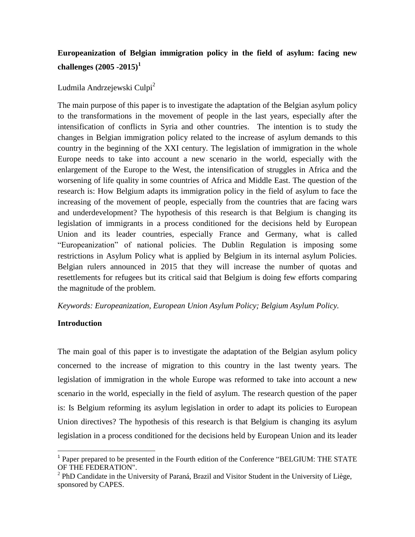# **Europeanization of Belgian immigration policy in the field of asylum: facing new challenges (2005 -2015)<sup>1</sup>**

Ludmila Andrzejewski Culpi<sup>2</sup>

The main purpose of this paper is to investigate the adaptation of the Belgian asylum policy to the transformations in the movement of people in the last years, especially after the intensification of conflicts in Syria and other countries. The intention is to study the changes in Belgian immigration policy related to the increase of asylum demands to this country in the beginning of the XXI century. The legislation of immigration in the whole Europe needs to take into account a new scenario in the world, especially with the enlargement of the Europe to the West, the intensification of struggles in Africa and the worsening of life quality in some countries of Africa and Middle East. The question of the research is: How Belgium adapts its immigration policy in the field of asylum to face the increasing of the movement of people, especially from the countries that are facing wars and underdevelopment? The hypothesis of this research is that Belgium is changing its legislation of immigrants in a process conditioned for the decisions held by European Union and its leader countries, especially France and Germany, what is called "Europeanization" of national policies. The Dublin Regulation is imposing some restrictions in Asylum Policy what is applied by Belgium in its internal asylum Policies. Belgian rulers announced in 2015 that they will increase the number of quotas and resettlements for refugees but its critical said that Belgium is doing few efforts comparing the magnitude of the problem.

### *Keywords: Europeanization, European Union Asylum Policy; Belgium Asylum Policy.*

#### **Introduction**

 $\overline{a}$ 

The main goal of this paper is to investigate the adaptation of the Belgian asylum policy concerned to the increase of migration to this country in the last twenty years. The legislation of immigration in the whole Europe was reformed to take into account a new scenario in the world, especially in the field of asylum. The research question of the paper is: Is Belgium reforming its asylum legislation in order to adapt its policies to European Union directives? The hypothesis of this research is that Belgium is changing its asylum legislation in a process conditioned for the decisions held by European Union and its leader

<sup>&</sup>lt;sup>1</sup> Paper prepared to be presented in the Fourth edition of the Conference "BELGIUM: THE STATE OF THE FEDERATION".

<sup>&</sup>lt;sup>2</sup> PhD Candidate in the University of Paraná, Brazil and Visitor Student in the University of Liège, sponsored by CAPES.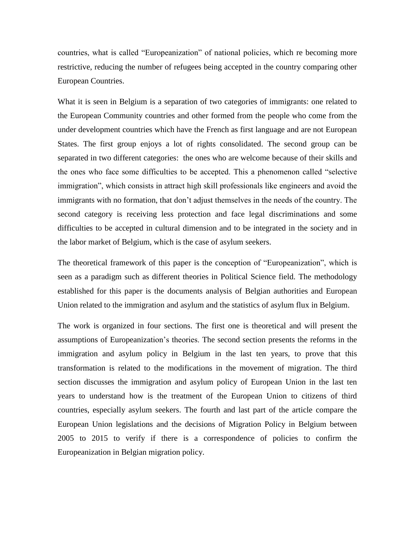countries, what is called "Europeanization" of national policies, which re becoming more restrictive, reducing the number of refugees being accepted in the country comparing other European Countries.

What it is seen in Belgium is a separation of two categories of immigrants: one related to the European Community countries and other formed from the people who come from the under development countries which have the French as first language and are not European States. The first group enjoys a lot of rights consolidated. The second group can be separated in two different categories: the ones who are welcome because of their skills and the ones who face some difficulties to be accepted. This a phenomenon called "selective immigration", which consists in attract high skill professionals like engineers and avoid the immigrants with no formation, that don't adjust themselves in the needs of the country. The second category is receiving less protection and face legal discriminations and some difficulties to be accepted in cultural dimension and to be integrated in the society and in the labor market of Belgium, which is the case of asylum seekers.

The theoretical framework of this paper is the conception of "Europeanization", which is seen as a paradigm such as different theories in Political Science field. The methodology established for this paper is the documents analysis of Belgian authorities and European Union related to the immigration and asylum and the statistics of asylum flux in Belgium.

The work is organized in four sections. The first one is theoretical and will present the assumptions of Europeanization's theories. The second section presents the reforms in the immigration and asylum policy in Belgium in the last ten years, to prove that this transformation is related to the modifications in the movement of migration. The third section discusses the immigration and asylum policy of European Union in the last ten years to understand how is the treatment of the European Union to citizens of third countries, especially asylum seekers. The fourth and last part of the article compare the European Union legislations and the decisions of Migration Policy in Belgium between 2005 to 2015 to verify if there is a correspondence of policies to confirm the Europeanization in Belgian migration policy.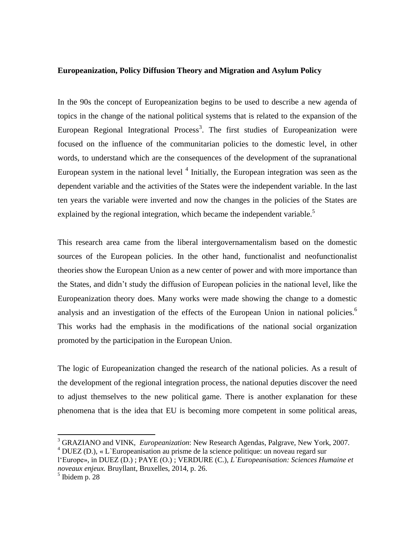#### **Europeanization, Policy Diffusion Theory and Migration and Asylum Policy**

In the 90s the concept of Europeanization begins to be used to describe a new agenda of topics in the change of the national political systems that is related to the expansion of the European Regional Integrational Process<sup>3</sup>. The first studies of Europeanization were focused on the influence of the communitarian policies to the domestic level, in other words, to understand which are the consequences of the development of the supranational European system in the national level  $4$  Initially, the European integration was seen as the dependent variable and the activities of the States were the independent variable. In the last ten years the variable were inverted and now the changes in the policies of the States are explained by the regional integration, which became the independent variable.<sup>5</sup>

This research area came from the liberal intergovernamentalism based on the domestic sources of the European policies. In the other hand, functionalist and neofunctionalist theories show the European Union as a new center of power and with more importance than the States, and didn't study the diffusion of European policies in the national level, like the Europeanization theory does. Many works were made showing the change to a domestic analysis and an investigation of the effects of the European Union in national policies.<sup>6</sup> This works had the emphasis in the modifications of the national social organization promoted by the participation in the European Union.

The logic of Europeanization changed the research of the national policies. As a result of the development of the regional integration process, the national deputies discover the need to adjust themselves to the new political game. There is another explanation for these phenomena that is the idea that EU is becoming more competent in some political areas,

 $\ddot{\phantom{a}}$ 

<sup>3</sup> GRAZIANO and VINK, *Europeanization*: New Research Agendas, Palgrave, New York, 2007.

 $4$  DUEZ (D.), « L`Europeanisation au prisme de la science politique: un noveau regard sur

l'Europe», in DUEZ (D.) ; PAYE (O.) ; VERDURE (C.), *L`Europeanisation: Sciences Humaine et noveaux enjeux.* Bruyllant, Bruxelles, 2014, p. 26.

 $<sup>5</sup>$  Ibidem p. 28</sup>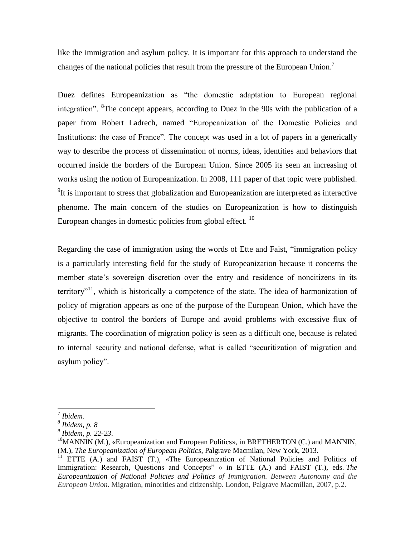like the immigration and asylum policy. It is important for this approach to understand the changes of the national policies that result from the pressure of the European Union.<sup>7</sup>

Duez defines Europeanization as "the domestic adaptation to European regional integration". <sup>8</sup>The concept appears, according to Duez in the 90s with the publication of a paper from Robert Ladrech, named "Europeanization of the Domestic Policies and Institutions: the case of France". The concept was used in a lot of papers in a generically way to describe the process of dissemination of norms, ideas, identities and behaviors that occurred inside the borders of the European Union. Since 2005 its seen an increasing of works using the notion of Europeanization. In 2008, 111 paper of that topic were published.  $9$ It is important to stress that globalization and Europeanization are interpreted as interactive phenome. The main concern of the studies on Europeanization is how to distinguish European changes in domestic policies from global effect. <sup>10</sup>

Regarding the case of immigration using the words of Ette and Faist, "immigration policy is a particularly interesting field for the study of Europeanization because it concerns the member state's sovereign discretion over the entry and residence of noncitizens in its territory"<sup>11</sup>, which is historically a competence of the state. The idea of harmonization of policy of migration appears as one of the purpose of the European Union, which have the objective to control the borders of Europe and avoid problems with excessive flux of migrants. The coordination of migration policy is seen as a difficult one, because is related to internal security and national defense, what is called "securitization of migration and asylum policy".

*<sup>7</sup> Ibidem.* 

*<sup>8</sup> Ibidem, p. 8* 

*<sup>9</sup> Ibidem, p. 22-23*.

<sup>&</sup>lt;sup>10</sup>MANNIN (M.), «Europeanization and European Politics», in BRETHERTON (C.) and MANNIN, (M.), *The Europeanization of European Politics*, Palgrave Macmilan, New York, 2013.

<sup>&</sup>lt;sup>11</sup> ETTE (A.) and FAIST (T.), «The Europeanization of National Policies and Politics of Immigration: Research, Questions and Concepts" » in ETTE (A.) and FAIST (T.), eds. *The Europeanization of National Policies and Politics of Immigration. Between Autonomy and the European Union*. Migration, minorities and citizenship. London, Palgrave Macmillan, 2007, p.2.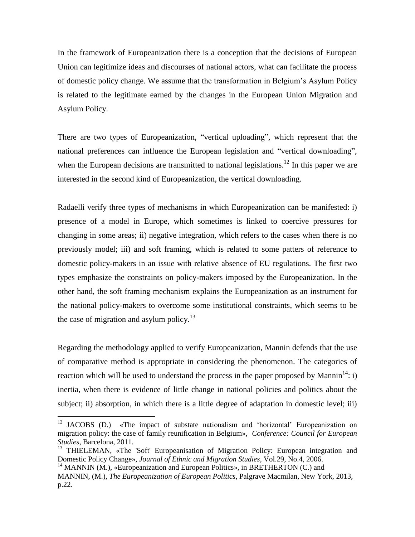In the framework of Europeanization there is a conception that the decisions of European Union can legitimize ideas and discourses of national actors, what can facilitate the process of domestic policy change. We assume that the transformation in Belgium's Asylum Policy is related to the legitimate earned by the changes in the European Union Migration and Asylum Policy.

There are two types of Europeanization, "vertical uploading", which represent that the national preferences can influence the European legislation and "vertical downloading", when the European decisions are transmitted to national legislations.<sup>12</sup> In this paper we are interested in the second kind of Europeanization, the vertical downloading.

Radaelli verify three types of mechanisms in which Europeanization can be manifested: i) presence of a model in Europe, which sometimes is linked to coercive pressures for changing in some areas; ii) negative integration, which refers to the cases when there is no previously model; iii) and soft framing, which is related to some patters of reference to domestic policy-makers in an issue with relative absence of EU regulations. The first two types emphasize the constraints on policy-makers imposed by the Europeanization. In the other hand, the soft framing mechanism explains the Europeanization as an instrument for the national policy-makers to overcome some institutional constraints, which seems to be the case of migration and asylum policy. $^{13}$ 

Regarding the methodology applied to verify Europeanization, Mannin defends that the use of comparative method is appropriate in considering the phenomenon. The categories of reaction which will be used to understand the process in the paper proposed by Mannin<sup>14</sup>: i) inertia, when there is evidence of little change in national policies and politics about the subject; ii) absorption, in which there is a little degree of adaptation in domestic level; iii)

<sup>&</sup>lt;sup>12</sup> JACOBS (D.) «The impact of substate nationalism and 'horizontal' Europeanization on migration policy: the case of family reunification in Belgium», *Conference: Council for European Studies*, Barcelona, 2011.

<sup>&</sup>lt;sup>13</sup> THIELEMAN, «The 'Soft' Europeanisation of Migration Policy: European integration and Domestic Policy Change», *Journal of Ethnic and Migration Studies*, Vol.29, No.4, 2006.

<sup>14</sup> MANNIN (M.), «Europeanization and European Politics»*,* in BRETHERTON (C.) and

MANNIN, (M.), *The Europeanization of European Politics*, Palgrave Macmilan, New York, 2013, p.22.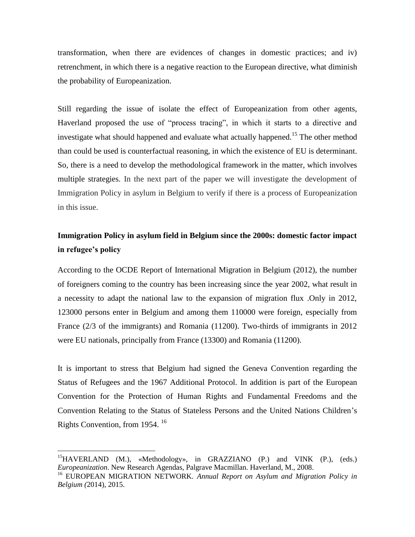transformation, when there are evidences of changes in domestic practices; and iv) retrenchment, in which there is a negative reaction to the European directive, what diminish the probability of Europeanization.

Still regarding the issue of isolate the effect of Europeanization from other agents, Haverland proposed the use of "process tracing", in which it starts to a directive and investigate what should happened and evaluate what actually happened.<sup>15</sup> The other method than could be used is counterfactual reasoning, in which the existence of EU is determinant. So, there is a need to develop the methodological framework in the matter, which involves multiple strategies. In the next part of the paper we will investigate the development of Immigration Policy in asylum in Belgium to verify if there is a process of Europeanization in this issue.

# **Immigration Policy in asylum field in Belgium since the 2000s: domestic factor impact in refugee's policy**

According to the OCDE Report of International Migration in Belgium (2012), the number of foreigners coming to the country has been increasing since the year 2002, what result in a necessity to adapt the national law to the expansion of migration flux .Only in 2012, 123000 persons enter in Belgium and among them 110000 were foreign, especially from France (2/3 of the immigrants) and Romania (11200). Two-thirds of immigrants in 2012 were EU nationals, principally from France (13300) and Romania (11200).

It is important to stress that Belgium had signed the Geneva Convention regarding the Status of Refugees and the 1967 Additional Protocol. In addition is part of the European Convention for the Protection of Human Rights and Fundamental Freedoms and the Convention Relating to the Status of Stateless Persons and the United Nations Children's Rights Convention, from 1954. <sup>16</sup>

<sup>&</sup>lt;sup>15</sup>HAVERLAND (M.), «Methodology», in GRAZZIANO (P.) and VINK (P.), (eds.) *Europeanization*. New Research Agendas, Palgrave Macmillan. Haverland, M., 2008.

<sup>16</sup> EUROPEAN MIGRATION NETWORK. *Annual Report on Asylum and Migration Policy in Belgium (*2014), 2015.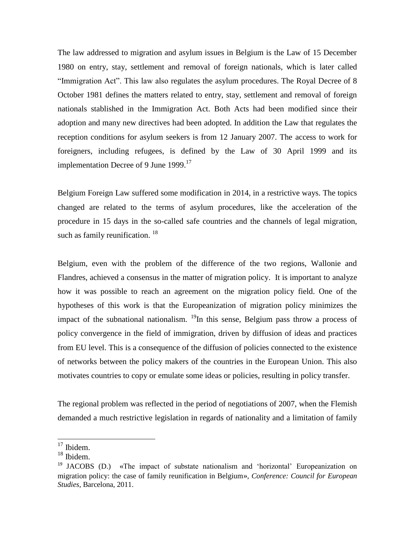The law addressed to migration and asylum issues in Belgium is the Law of 15 December 1980 on entry, stay, settlement and removal of foreign nationals, which is later called "Immigration Act". This law also regulates the asylum procedures. The Royal Decree of 8 October 1981 defines the matters related to entry, stay, settlement and removal of foreign nationals stablished in the Immigration Act. Both Acts had been modified since their adoption and many new directives had been adopted. In addition the Law that regulates the reception conditions for asylum seekers is from 12 January 2007. The access to work for foreigners, including refugees, is defined by the Law of 30 April 1999 and its implementation Decree of 9 June 1999.<sup>17</sup>

Belgium Foreign Law suffered some modification in 2014, in a restrictive ways. The topics changed are related to the terms of asylum procedures, like the acceleration of the procedure in 15 days in the so-called safe countries and the channels of legal migration, such as family reunification.<sup>18</sup>

Belgium, even with the problem of the difference of the two regions, Wallonie and Flandres, achieved a consensus in the matter of migration policy. It is important to analyze how it was possible to reach an agreement on the migration policy field. One of the hypotheses of this work is that the Europeanization of migration policy minimizes the impact of the subnational nationalism.  $^{19}$ In this sense, Belgium pass throw a process of policy convergence in the field of immigration, driven by diffusion of ideas and practices from EU level. This is a consequence of the diffusion of policies connected to the existence of networks between the policy makers of the countries in the European Union. This also motivates countries to copy or emulate some ideas or policies, resulting in policy transfer.

The regional problem was reflected in the period of negotiations of 2007, when the Flemish demanded a much restrictive legislation in regards of nationality and a limitation of family

 $17$  Ibidem.

<sup>18</sup> Ibidem.

<sup>&</sup>lt;sup>19</sup> JACOBS (D.) «The impact of substate nationalism and 'horizontal' Europeanization on migration policy: the case of family reunification in Belgium», *Conference: Council for European Studies*, Barcelona, 2011.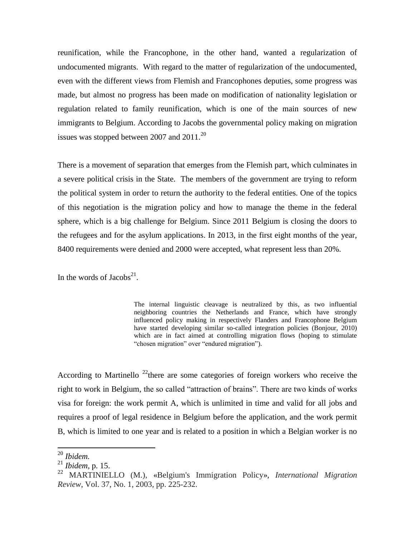reunification, while the Francophone, in the other hand, wanted a regularization of undocumented migrants. With regard to the matter of regularization of the undocumented, even with the different views from Flemish and Francophones deputies, some progress was made, but almost no progress has been made on modification of nationality legislation or regulation related to family reunification, which is one of the main sources of new immigrants to Belgium. According to Jacobs the governmental policy making on migration issues was stopped between 2007 and  $2011$ .<sup>20</sup>

There is a movement of separation that emerges from the Flemish part, which culminates in a severe political crisis in the State. The members of the government are trying to reform the political system in order to return the authority to the federal entities. One of the topics of this negotiation is the migration policy and how to manage the theme in the federal sphere, which is a big challenge for Belgium. Since 2011 Belgium is closing the doors to the refugees and for the asylum applications. In 2013, in the first eight months of the year, 8400 requirements were denied and 2000 were accepted, what represent less than 20%.

In the words of Jacobs<sup>21</sup>.

The internal linguistic cleavage is neutralized by this, as two influential neighboring countries the Netherlands and France, which have strongly influenced policy making in respectively Flanders and Francophone Belgium have started developing similar so-called integration policies (Bonjour, 2010) which are in fact aimed at controlling migration flows (hoping to stimulate "chosen migration" over "endured migration").

According to Martinello  $^{22}$  there are some categories of foreign workers who receive the right to work in Belgium, the so called "attraction of brains". There are two kinds of works visa for foreign: the work permit A, which is unlimited in time and valid for all jobs and requires a proof of legal residence in Belgium before the application, and the work permit B, which is limited to one year and is related to a position in which a Belgian worker is no

<sup>20</sup> *Ibidem.*

<sup>21</sup> *Ibidem,* p. 15.

<sup>22</sup> MARTINIELLO (M.), «Belgium's Immigration Policy», *International Migration Review*, Vol. 37, No. 1, 2003, pp. 225-232.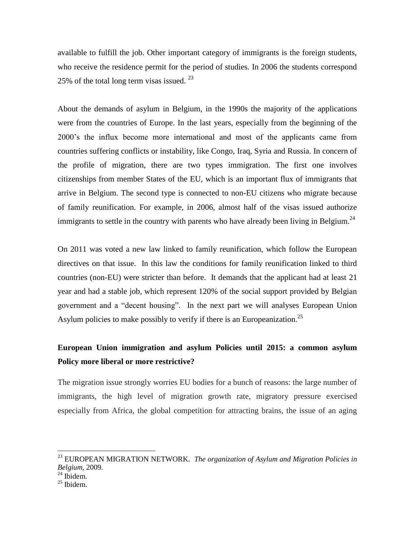available to fulfill the job. Other important category of immigrants is the foreign students, who receive the residence permit for the period of studies. In 2006 the students correspond 25% of the total long term visas issued.  $23$ 

About the demands of asylum in Belgium, in the 1990s the majority of the applications were from the countries of Europe. In the last years, especially from the beginning of the 2000's the influx become more international and most of the applicants came from countries suffering conflicts or instability, like Congo, Iraq, Syria and Russia. In concern of the profile of migration, there are two types immigration. The first one involves citizenships from member States of the EU, which is an important flux of immigrants that arrive in Belgium. The second type is connected to non-EU citizens who migrate because of family reunification. For example, in 2006, almost half of the visas issued authorize immigrants to settle in the country with parents who have already been living in Belgium.<sup>24</sup>

On 2011 was voted a new law linked to family reunification, which follow the European directives on that issue. In this law the conditions for family reunification linked to third countries (non-EU) were stricter than before. It demands that the applicant had at least 21 year and had a stable job, which represent 120% of the social support provided by Belgian government and a "decent housing". In the next part we will analyses European Union Asylum policies to make possibly to verify if there is an Europeanization.<sup>25</sup>

# **European Union immigration and asylum Policies until 2015: a common asylum Policy more liberal or more restrictive?**

The migration issue strongly worries EU bodies for a bunch of reasons: the large number of immigrants, the high level of migration growth rate, migratory pressure exercised especially from Africa, the global competition for attracting brains, the issue of an aging

<sup>23</sup> EUROPEAN MIGRATION NETWORK. *The organization of Asylum and Migration Policies in Belgium*, 2009.

 $24$  Ibidem.

<sup>25</sup> Ibidem.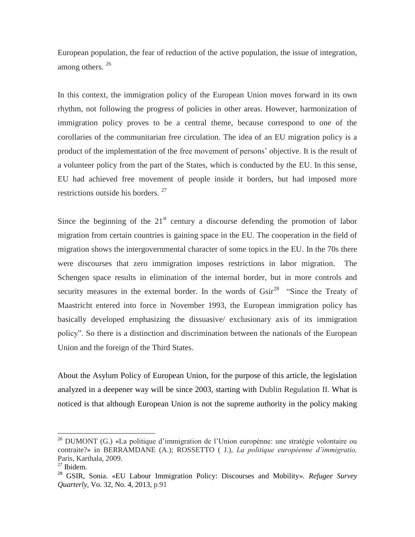European population, the fear of reduction of the active population, the issue of integration, among others. <sup>26</sup>

In this context, the immigration policy of the European Union moves forward in its own rhythm, not following the progress of policies in other areas. However, harmonization of immigration policy proves to be a central theme, because correspond to one of the corollaries of the communitarian free circulation. The idea of an EU migration policy is a product of the implementation of the free movement of persons' objective. It is the result of a volunteer policy from the part of the States, which is conducted by the EU. In this sense, EU had achieved free movement of people inside it borders, but had imposed more restrictions outside his borders. <sup>27</sup>

Since the beginning of the  $21<sup>st</sup>$  century a discourse defending the promotion of labor migration from certain countries is gaining space in the EU. The cooperation in the field of migration shows the intergovernmental character of some topics in the EU. In the 70s there were discourses that zero immigration imposes restrictions in labor migration. The Schengen space results in elimination of the internal border, but in more controls and security measures in the external border. In the words of  $\text{Gsir}^{28}$  "Since the Treaty of Maastricht entered into force in November 1993, the European immigration policy has basically developed emphasizing the dissuasive/ exclusionary axis of its immigration policy". So there is a distinction and discrimination between the nationals of the European Union and the foreign of the Third States.

About the Asylum Policy of European Union, for the purpose of this article, the legislation analyzed in a deepener way will be since 2003, starting with Dublin Regulation II. What is noticed is that although European Union is not the supreme authority in the policy making

 $^{26}$  DUMONT (G.) «La politique d'immigration de l'Union europénne: une stratégie volontaire ou contraite?» in BERRAMDANE (A.); ROSSETTO ( J.), *La politique européenne d'immigratio,*  Paris, Karthala, 2009.

 $27$  Ibidem.

<sup>28</sup> GSIR, Sonia. «EU Labour Immigration Policy: Discourses and Mobility». *Refugee Survey Quarterly*, Vo. 32, No. 4, 2013, p.91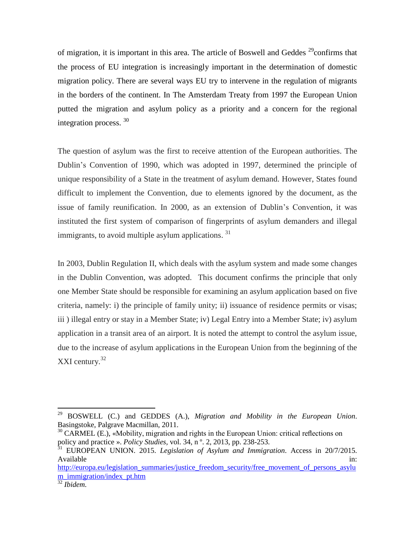of migration, it is important in this area. The article of Boswell and Geddes  $^{29}$ confirms that the process of EU integration is increasingly important in the determination of domestic migration policy. There are several ways EU try to intervene in the regulation of migrants in the borders of the continent. In The Amsterdam Treaty from 1997 the European Union putted the migration and asylum policy as a priority and a concern for the regional integration process.<sup>30</sup>

The question of asylum was the first to receive attention of the European authorities. The Dublin's Convention of 1990, which was adopted in 1997, determined the principle of unique responsibility of a State in the treatment of asylum demand. However, States found difficult to implement the Convention, due to elements ignored by the document, as the issue of family reunification. In 2000, as an extension of Dublin's Convention, it was instituted the first system of comparison of fingerprints of asylum demanders and illegal immigrants, to avoid multiple asylum applications.  $31$ 

In 2003, Dublin Regulation II, which deals with the asylum system and made some changes in the Dublin Convention, was adopted. This document confirms the principle that only one Member State should be responsible for examining an asylum application based on five criteria, namely: i) the principle of family unity; ii) issuance of residence permits or visas; iii ) illegal entry or stay in a Member State; iv) Legal Entry into a Member State; iv) asylum application in a transit area of an airport. It is noted the attempt to control the asylum issue, due to the increase of asylum applications in the European Union from the beginning of the XXI century.<sup>32</sup>

<sup>29</sup> BOSWELL (C.) and GEDDES (A.), *Migration and Mobility in the European Union*. Basingstoke, Palgrave Macmillan, 2011.

 $30$  CARMEL (E.), «Mobility, migration and rights in the European Union: critical reflections on policy and practice ». *Policy Studies,* vol. 34, n º. 2, 2013, pp. 238-253.

<sup>31</sup> EUROPEAN UNION. 2015. *Legislation of Asylum and Immigration*. Access in 20/7/2015. Available in:  $\blacksquare$ 

[http://europa.eu/legislation\\_summaries/justice\\_freedom\\_security/free\\_movement\\_of\\_persons\\_asylu](http://europa.eu/legislation_summaries/justice_freedom_security/free_movement_of_persons_asylum_immigration/index_pt.htm) [m\\_immigration/index\\_pt.htm](http://europa.eu/legislation_summaries/justice_freedom_security/free_movement_of_persons_asylum_immigration/index_pt.htm)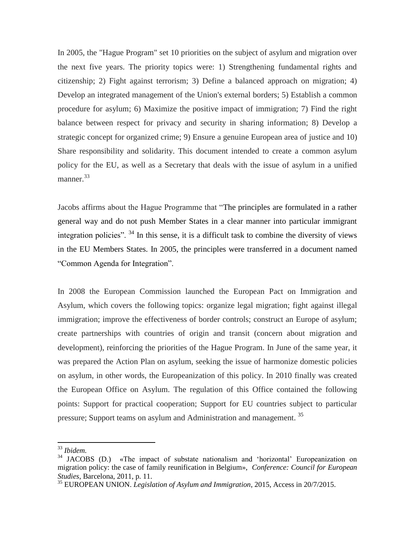In 2005, the "Hague Program" set 10 priorities on the subject of asylum and migration over the next five years. The priority topics were: 1) Strengthening fundamental rights and citizenship; 2) Fight against terrorism; 3) Define a balanced approach on migration; 4) Develop an integrated management of the Union's external borders; 5) Establish a common procedure for asylum; 6) Maximize the positive impact of immigration; 7) Find the right balance between respect for privacy and security in sharing information; 8) Develop a strategic concept for organized crime; 9) Ensure a genuine European area of justice and 10) Share responsibility and solidarity. This document intended to create a common asylum policy for the EU, as well as a Secretary that deals with the issue of asylum in a unified manner.<sup>33</sup>

Jacobs affirms about the Hague Programme that "The principles are formulated in a rather general way and do not push Member States in a clear manner into particular immigrant integration policies". <sup>34</sup> In this sense, it is a difficult task to combine the diversity of views in the EU Members States. In 2005, the principles were transferred in a document named "Common Agenda for Integration".

In 2008 the European Commission launched the European Pact on Immigration and Asylum, which covers the following topics: organize legal migration; fight against illegal immigration; improve the effectiveness of border controls; construct an Europe of asylum; create partnerships with countries of origin and transit (concern about migration and development), reinforcing the priorities of the Hague Program. In June of the same year, it was prepared the Action Plan on asylum, seeking the issue of harmonize domestic policies on asylum, in other words, the Europeanization of this policy. In 2010 finally was created the European Office on Asylum. The regulation of this Office contained the following points: Support for practical cooperation; Support for EU countries subject to particular pressure; Support teams on asylum and Administration and management. <sup>35</sup>

<sup>33</sup> *Ibidem.*

<sup>&</sup>lt;sup>34</sup> JACOBS (D.) «The impact of substate nationalism and 'horizontal' Europeanization on migration policy: the case of family reunification in Belgium», *Conference: Council for European Studies*, Barcelona, 2011, p. 11.

<sup>35</sup> EUROPEAN UNION. *Legislation of Asylum and Immigration*, 2015, Access in 20/7/2015.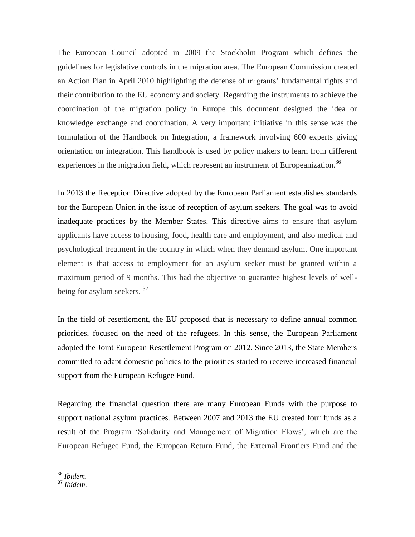The European Council adopted in 2009 the Stockholm Program which defines the guidelines for legislative controls in the migration area. The European Commission created an Action Plan in April 2010 highlighting the defense of migrants' fundamental rights and their contribution to the EU economy and society. Regarding the instruments to achieve the coordination of the migration policy in Europe this document designed the idea or knowledge exchange and coordination. A very important initiative in this sense was the formulation of the Handbook on Integration, a framework involving 600 experts giving orientation on integration. This handbook is used by policy makers to learn from different experiences in the migration field, which represent an instrument of Europeanization.<sup>36</sup>

In 2013 the Reception Directive adopted by the European Parliament establishes standards for the European Union in the issue of reception of asylum seekers. The goal was to avoid inadequate practices by the Member States. This directive aims to ensure that asylum applicants have access to housing, food, health care and employment, and also medical and psychological treatment in the country in which when they demand asylum. One important element is that access to employment for an asylum seeker must be granted within a maximum period of 9 months. This had the objective to guarantee highest levels of wellbeing for asylum seekers. <sup>37</sup>

In the field of resettlement, the EU proposed that is necessary to define annual common priorities, focused on the need of the refugees. In this sense, the European Parliament adopted the Joint European Resettlement Program on 2012. Since 2013, the State Members committed to adapt domestic policies to the priorities started to receive increased financial support from the European Refugee Fund.

Regarding the financial question there are many European Funds with the purpose to support national asylum practices. Between 2007 and 2013 the EU created four funds as a result of the Program 'Solidarity and Management of Migration Flows', which are the European Refugee Fund, the European Return Fund, the External Frontiers Fund and the

<sup>36</sup> *Ibidem.*

<sup>37</sup> *Ibidem.*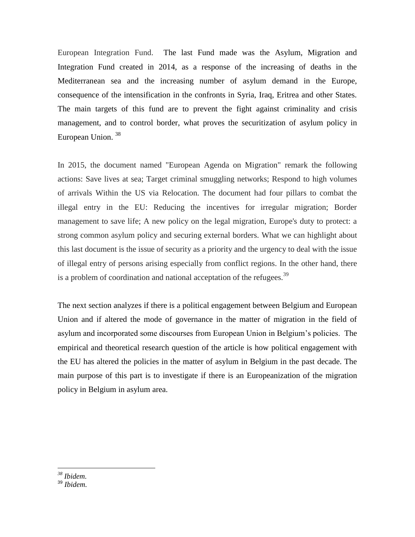European Integration Fund. The last Fund made was the Asylum, Migration and Integration Fund created in 2014, as a response of the increasing of deaths in the Mediterranean sea and the increasing number of asylum demand in the Europe, consequence of the intensification in the confronts in Syria, Iraq, Eritrea and other States. The main targets of this fund are to prevent the fight against criminality and crisis management, and to control border, what proves the securitization of asylum policy in European Union. <sup>38</sup>

In 2015, the document named "European Agenda on Migration" remark the following actions: Save lives at sea; Target criminal smuggling networks; Respond to high volumes of arrivals Within the US via Relocation. The document had four pillars to combat the illegal entry in the EU: Reducing the incentives for irregular migration; Border management to save life; A new policy on the legal migration, Europe's duty to protect: a strong common asylum policy and securing external borders. What we can highlight about this last document is the issue of security as a priority and the urgency to deal with the issue of illegal entry of persons arising especially from conflict regions. In the other hand, there is a problem of coordination and national acceptation of the refugees.<sup>39</sup>

The next section analyzes if there is a political engagement between Belgium and European Union and if altered the mode of governance in the matter of migration in the field of asylum and incorporated some discourses from European Union in Belgium's policies. The empirical and theoretical research question of the article is how political engagement with the EU has altered the policies in the matter of asylum in Belgium in the past decade. The main purpose of this part is to investigate if there is an Europeanization of the migration policy in Belgium in asylum area.

<sup>39</sup> *Ibidem.*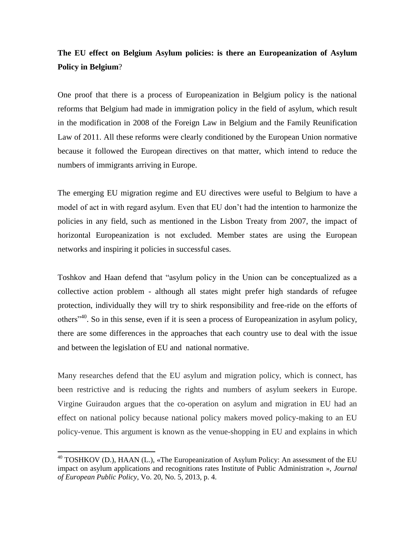### **The EU effect on Belgium Asylum policies: is there an Europeanization of Asylum Policy in Belgium**?

One proof that there is a process of Europeanization in Belgium policy is the national reforms that Belgium had made in immigration policy in the field of asylum, which result in the modification in 2008 of the Foreign Law in Belgium and the Family Reunification Law of 2011. All these reforms were clearly conditioned by the European Union normative because it followed the European directives on that matter, which intend to reduce the numbers of immigrants arriving in Europe.

The emerging EU migration regime and EU directives were useful to Belgium to have a model of act in with regard asylum. Even that EU don't had the intention to harmonize the policies in any field, such as mentioned in the Lisbon Treaty from 2007, the impact of horizontal Europeanization is not excluded. Member states are using the European networks and inspiring it policies in successful cases.

Toshkov and Haan defend that "asylum policy in the Union can be conceptualized as a collective action problem - although all states might prefer high standards of refugee protection, individually they will try to shirk responsibility and free-ride on the efforts of others<sup> $140$ </sup>. So in this sense, even if it is seen a process of Europeanization in asylum policy, there are some differences in the approaches that each country use to deal with the issue and between the legislation of EU and national normative.

Many researches defend that the EU asylum and migration policy, which is connect, has been restrictive and is reducing the rights and numbers of asylum seekers in Europe. Virgine Guiraudon argues that the co-operation on asylum and migration in EU had an effect on national policy because national policy makers moved policy-making to an EU policy-venue. This argument is known as the venue-shopping in EU and explains in which

<sup>&</sup>lt;sup>40</sup> TOSHKOV (D.), HAAN (L.), «The Europeanization of Asylum Policy: An assessment of the EU impact on asylum applications and recognitions rates Institute of Public Administration », *Journal of European Public Policy*, Vo. 20, No. 5, 2013, p. 4.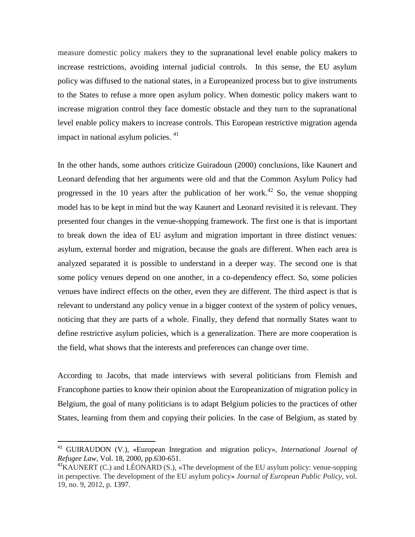measure domestic policy makers they to the supranational level enable policy makers to increase restrictions, avoiding internal judicial controls. In this sense, the EU asylum policy was diffused to the national states, in a Europeanized process but to give instruments to the States to refuse a more open asylum policy. When domestic policy makers want to increase migration control they face domestic obstacle and they turn to the supranational level enable policy makers to increase controls. This European restrictive migration agenda impact in national asylum policies. <sup>41</sup>

In the other hands, some authors criticize Guiradoun (2000) conclusions, like Kaunert and Leonard defending that her arguments were old and that the Common Asylum Policy had progressed in the 10 years after the publication of her work.<sup>42</sup> So, the venue shopping model has to be kept in mind but the way Kaunert and Leonard revisited it is relevant. They presented four changes in the venue-shopping framework. The first one is that is important to break down the idea of EU asylum and migration important in three distinct venues: asylum, external border and migration, because the goals are different. When each area is analyzed separated it is possible to understand in a deeper way. The second one is that some policy venues depend on one another, in a co-dependency effect. So, some policies venues have indirect effects on the other, even they are different. The third aspect is that is relevant to understand any policy venue in a bigger context of the system of policy venues, noticing that they are parts of a whole. Finally, they defend that normally States want to define restrictive asylum policies, which is a generalization. There are more cooperation is the field, what shows that the interests and preferences can change over time.

According to Jacobs, that made interviews with several politicians from Flemish and Francophone parties to know their opinion about the Europeanization of migration policy in Belgium, the goal of many politicians is to adapt Belgium policies to the practices of other States, learning from them and copying their policies. In the case of Belgium, as stated by

<sup>41</sup> GUIRAUDON (V.), «European Integration and migration policy», *International Journal of Refugee Law*, Vol. 18, 2000, pp.630-651.

 $42$ KAUNERT (C.) and LÉONARD (S.), «The development of the EU asylum policy: venue-sopping in perspective. The development of the EU asylum policy» *Journal of European Public Policy*, vol. 19, no. 9, 2012, p. 1397.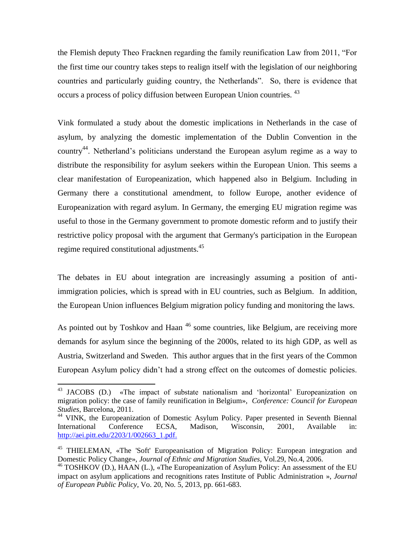the Flemish deputy Theo Fracknen regarding the family reunification Law from 2011, "For the first time our country takes steps to realign itself with the legislation of our neighboring countries and particularly guiding country, the Netherlands". So, there is evidence that occurs a process of policy diffusion between European Union countries. <sup>43</sup>

Vink formulated a study about the domestic implications in Netherlands in the case of asylum, by analyzing the domestic implementation of the Dublin Convention in the country<sup>44</sup>. Netherland's politicians understand the European asylum regime as a way to distribute the responsibility for asylum seekers within the European Union. This seems a clear manifestation of Europeanization, which happened also in Belgium. Including in Germany there a constitutional amendment, to follow Europe, another evidence of Europeanization with regard asylum. In Germany, the emerging EU migration regime was useful to those in the Germany government to promote domestic reform and to justify their restrictive policy proposal with the argument that Germany's participation in the European regime required constitutional adjustments.<sup>45</sup>

The debates in EU about integration are increasingly assuming a position of antiimmigration policies, which is spread with in EU countries, such as Belgium. In addition, the European Union influences Belgium migration policy funding and monitoring the laws.

As pointed out by Toshkov and Haan <sup>46</sup> some countries, like Belgium, are receiving more demands for asylum since the beginning of the 2000s, related to its high GDP, as well as Austria, Switzerland and Sweden. This author argues that in the first years of the Common European Asylum policy didn't had a strong effect on the outcomes of domestic policies.

<sup>&</sup>lt;sup>43</sup> JACOBS (D.) «The impact of substate nationalism and 'horizontal' Europeanization on migration policy: the case of family reunification in Belgium», *Conference: Council for European Studies*, Barcelona, 2011.

<sup>44</sup> VINK, the Europeanization of Domestic Asylum Policy. Paper presented in Seventh Biennal International Conference ECSA, Madison, Wisconsin, 2001, Available in: [http://aei.pitt.edu/2203/1/002663\\_1.pdf.](http://aei.pitt.edu/2203/1/002663_1.pdf)

<sup>&</sup>lt;sup>45</sup> THIELEMAN, «The 'Soft' Europeanisation of Migration Policy: European integration and Domestic Policy Change», *Journal of Ethnic and Migration Studies*, Vol.29, No.4, 2006.

<sup>&</sup>lt;sup>46</sup> TOSHKOV (D.), HAAN (L.), «The Europeanization of Asylum Policy: An assessment of the EU impact on asylum applications and recognitions rates Institute of Public Administration », *Journal of European Public Policy*, Vo. 20, No. 5, 2013, pp. 661-683.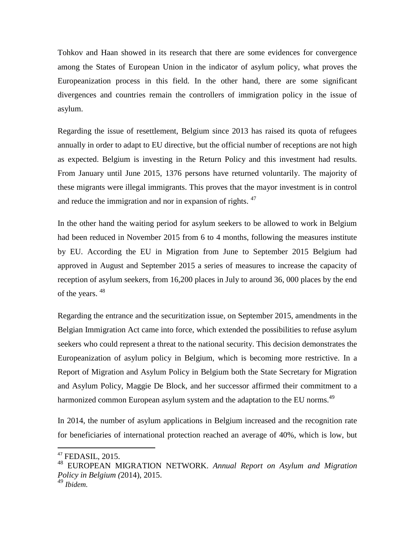Tohkov and Haan showed in its research that there are some evidences for convergence among the States of European Union in the indicator of asylum policy, what proves the Europeanization process in this field. In the other hand, there are some significant divergences and countries remain the controllers of immigration policy in the issue of asylum.

Regarding the issue of resettlement, Belgium since 2013 has raised its quota of refugees annually in order to adapt to EU directive, but the official number of receptions are not high as expected. Belgium is investing in the Return Policy and this investment had results. From January until June 2015, 1376 persons have returned voluntarily. The majority of these migrants were illegal immigrants. This proves that the mayor investment is in control and reduce the immigration and nor in expansion of rights. <sup>47</sup>

In the other hand the waiting period for asylum seekers to be allowed to work in Belgium had been reduced in November 2015 from 6 to 4 months, following the measures institute by EU. According the EU in Migration from June to September 2015 Belgium had approved in August and September 2015 a series of measures to increase the capacity of reception of asylum seekers, from 16,200 places in July to around 36, 000 places by the end of the years. <sup>48</sup>

Regarding the entrance and the securitization issue, on September 2015, amendments in the Belgian Immigration Act came into force, which extended the possibilities to refuse asylum seekers who could represent a threat to the national security. This decision demonstrates the Europeanization of asylum policy in Belgium, which is becoming more restrictive. In a Report of Migration and Asylum Policy in Belgium both the State Secretary for Migration and Asylum Policy, Maggie De Block, and her successor affirmed their commitment to a harmonized common European asylum system and the adaptation to the EU norms.<sup>49</sup>

In 2014, the number of asylum applications in Belgium increased and the recognition rate for beneficiaries of international protection reached an average of 40%, which is low, but

<sup>47</sup> FEDASIL, 2015.

<sup>48</sup> EUROPEAN MIGRATION NETWORK. *Annual Report on Asylum and Migration Policy in Belgium (*2014), 2015.

*<sup>49</sup> Ibidem.*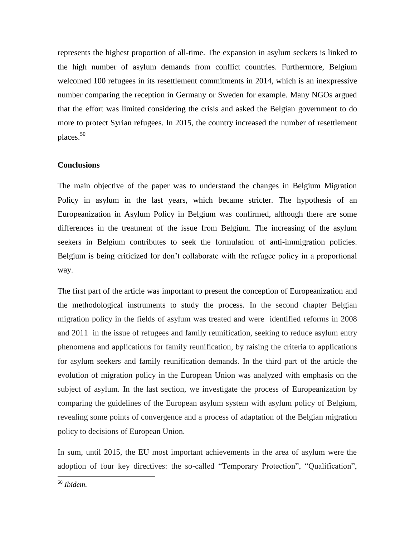represents the highest proportion of all-time. The expansion in asylum seekers is linked to the high number of asylum demands from conflict countries. Furthermore, Belgium welcomed 100 refugees in its resettlement commitments in 2014, which is an inexpressive number comparing the reception in Germany or Sweden for example. Many NGOs argued that the effort was limited considering the crisis and asked the Belgian government to do more to protect Syrian refugees. In 2015, the country increased the number of resettlement places.<sup>50</sup>

### **Conclusions**

The main objective of the paper was to understand the changes in Belgium Migration Policy in asylum in the last years, which became stricter. The hypothesis of an Europeanization in Asylum Policy in Belgium was confirmed, although there are some differences in the treatment of the issue from Belgium. The increasing of the asylum seekers in Belgium contributes to seek the formulation of anti-immigration policies. Belgium is being criticized for don't collaborate with the refugee policy in a proportional way.

The first part of the article was important to present the conception of Europeanization and the methodological instruments to study the process. In the second chapter Belgian migration policy in the fields of asylum was treated and were identified reforms in 2008 and 2011 in the issue of refugees and family reunification, seeking to reduce asylum entry phenomena and applications for family reunification, by raising the criteria to applications for asylum seekers and family reunification demands. In the third part of the article the evolution of migration policy in the European Union was analyzed with emphasis on the subject of asylum. In the last section, we investigate the process of Europeanization by comparing the guidelines of the European asylum system with asylum policy of Belgium, revealing some points of convergence and a process of adaptation of the Belgian migration policy to decisions of European Union.

In sum, until 2015, the EU most important achievements in the area of asylum were the adoption of four key directives: the so-called "Temporary Protection", "Qualification",

 $\overline{a}$ <sup>50</sup> *Ibidem.*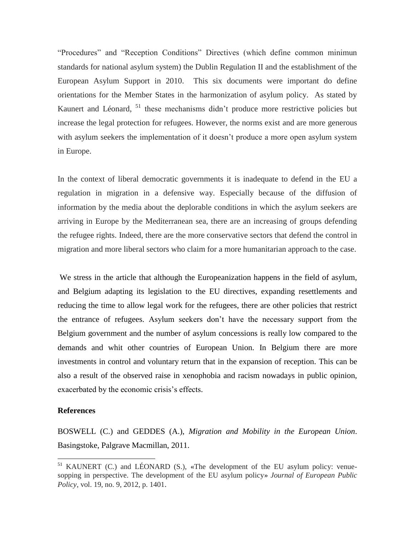"Procedures" and "Reception Conditions" Directives (which define common minimun standards for national asylum system) the Dublin Regulation II and the establishment of the European Asylum Support in 2010. This six documents were important do define orientations for the Member States in the harmonization of asylum policy. As stated by Kaunert and Léonard, <sup>51</sup> these mechanisms didn't produce more restrictive policies but increase the legal protection for refugees. However, the norms exist and are more generous with asylum seekers the implementation of it doesn't produce a more open asylum system in Europe.

In the context of liberal democratic governments it is inadequate to defend in the EU a regulation in migration in a defensive way. Especially because of the diffusion of information by the media about the deplorable conditions in which the asylum seekers are arriving in Europe by the Mediterranean sea, there are an increasing of groups defending the refugee rights. Indeed, there are the more conservative sectors that defend the control in migration and more liberal sectors who claim for a more humanitarian approach to the case.

We stress in the article that although the Europeanization happens in the field of asylum, and Belgium adapting its legislation to the EU directives, expanding resettlements and reducing the time to allow legal work for the refugees, there are other policies that restrict the entrance of refugees. Asylum seekers don't have the necessary support from the Belgium government and the number of asylum concessions is really low compared to the demands and whit other countries of European Union. In Belgium there are more investments in control and voluntary return that in the expansion of reception. This can be also a result of the observed raise in xenophobia and racism nowadays in public opinion, exacerbated by the economic crisis's effects.

#### **References**

 $\ddot{\phantom{a}}$ 

BOSWELL (C.) and GEDDES (A.), *Migration and Mobility in the European Union*. Basingstoke, Palgrave Macmillan, 2011.

<sup>&</sup>lt;sup>51</sup> KAUNERT (C.) and LÉONARD (S.), «The development of the EU asylum policy: venuesopping in perspective. The development of the EU asylum policy» *Journal of European Public Policy*, vol. 19, no. 9, 2012, p. 1401.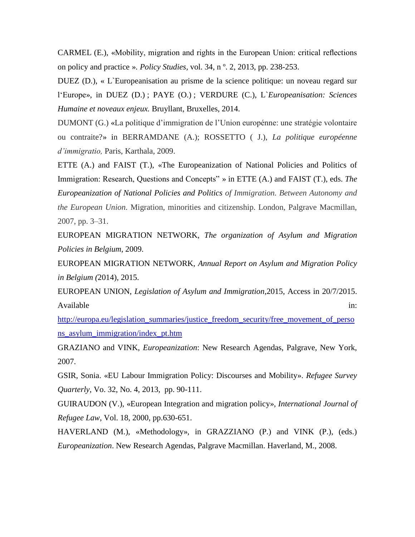CARMEL (E.), «Mobility, migration and rights in the European Union: critical reflections on policy and practice ». *Policy Studies,* vol. 34, n º. 2, 2013, pp. 238-253.

DUEZ (D.), « L`Europeanisation au prisme de la science politique: un noveau regard sur l'Europe», in DUEZ (D.) ; PAYE (O.) ; VERDURE (C.), L`*Europeanisation: Sciences Humaine et noveaux enjeux.* Bruyllant, Bruxelles, 2014.

DUMONT (G.) «La politique d'immigration de l'Union europénne: une stratégie volontaire ou contraite?» in BERRAMDANE (A.); ROSSETTO ( J.), *La politique européenne d'immigratio,* Paris, Karthala, 2009.

ETTE (A.) and FAIST (T.), «The Europeanization of National Policies and Politics of Immigration: Research, Questions and Concepts" » in ETTE (A.) and FAIST (T.), eds. *The Europeanization of National Policies and Politics of Immigration. Between Autonomy and the European Union*. Migration, minorities and citizenship. London, Palgrave Macmillan, 2007, pp. 3–31.

EUROPEAN MIGRATION NETWORK, *The organization of Asylum and Migration Policies in Belgium*, 2009.

EUROPEAN MIGRATION NETWORK, *Annual Report on Asylum and Migration Policy in Belgium (*2014), 2015.

EUROPEAN UNION, *Legislation of Asylum and Immigration*,2015, Access in 20/7/2015. Available in:  $\blacksquare$ 

[http://europa.eu/legislation\\_summaries/justice\\_freedom\\_security/free\\_movement\\_of\\_perso](http://europa.eu/legislation_summaries/justice_freedom_security/free_movement_of_persons_asylum_immigration/index_pt.htm) [ns\\_asylum\\_immigration/index\\_pt.htm](http://europa.eu/legislation_summaries/justice_freedom_security/free_movement_of_persons_asylum_immigration/index_pt.htm)

GRAZIANO and VINK, *Europeanization*: New Research Agendas, Palgrave, New York, 2007.

GSIR, Sonia. «EU Labour Immigration Policy: Discourses and Mobility». *Refugee Survey Quarterly*, Vo. 32, No. 4, 2013, pp. 90-111.

GUIRAUDON (V.), «European Integration and migration policy», *International Journal of Refugee Law*, Vol. 18, 2000, pp.630-651.

HAVERLAND (M.), «Methodology», in GRAZZIANO (P.) and VINK (P.), (eds.) *Europeanization*. New Research Agendas, Palgrave Macmillan. Haverland, M., 2008.